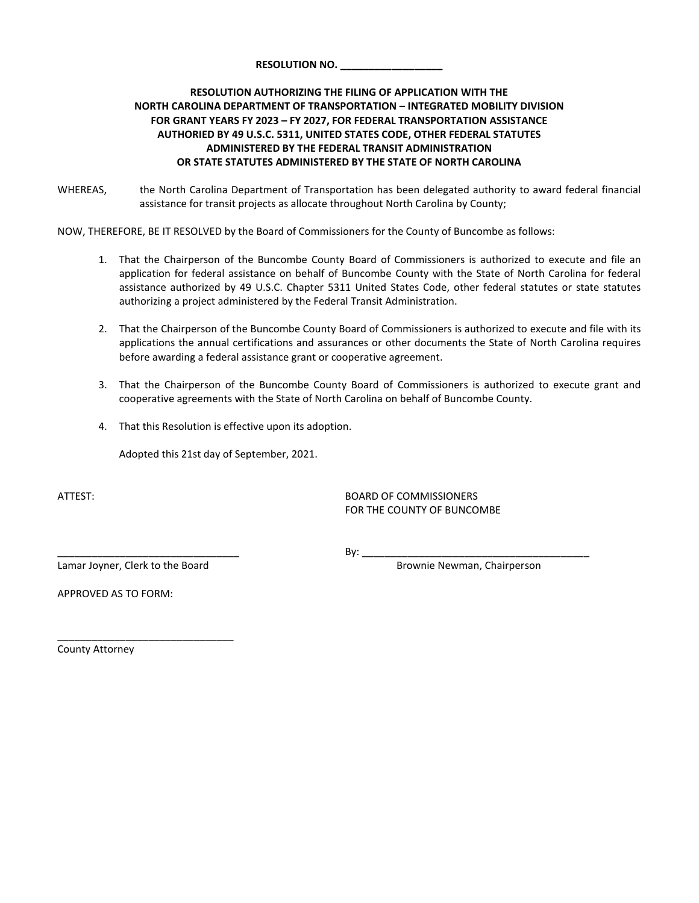## **RESOLUTION AUTHORIZING THE FILING OF APPLICATION WITH THE NORTH CAROLINA DEPARTMENT OF TRANSPORTATION – INTEGRATED MOBILITY DIVISION FOR GRANT YEARS FY 2023 – FY 2027, FOR FEDERAL TRANSPORTATION ASSISTANCE AUTHORIED BY 49 U.S.C. 5311, UNITED STATES CODE, OTHER FEDERAL STATUTES ADMINISTERED BY THE FEDERAL TRANSIT ADMINISTRATION OR STATE STATUTES ADMINISTERED BY THE STATE OF NORTH CAROLINA**

WHEREAS, the North Carolina Department of Transportation has been delegated authority to award federal financial assistance for transit projects as allocate throughout North Carolina by County;

NOW, THEREFORE, BE IT RESOLVED by the Board of Commissioners for the County of Buncombe as follows:

- 1. That the Chairperson of the Buncombe County Board of Commissioners is authorized to execute and file an application for federal assistance on behalf of Buncombe County with the State of North Carolina for federal assistance authorized by 49 U.S.C. Chapter 5311 United States Code, other federal statutes or state statutes authorizing a project administered by the Federal Transit Administration.
- 2. That the Chairperson of the Buncombe County Board of Commissioners is authorized to execute and file with its applications the annual certifications and assurances or other documents the State of North Carolina requires before awarding a federal assistance grant or cooperative agreement.
- 3. That the Chairperson of the Buncombe County Board of Commissioners is authorized to execute grant and cooperative agreements with the State of North Carolina on behalf of Buncombe County.
- 4. That this Resolution is effective upon its adoption.

Adopted this 21st day of September, 2021.

### ATTEST: BOARD OF COMMISSIONERS FOR THE COUNTY OF BUNCOMBE

Lamar Joyner, Clerk to the Board **Brownie Newman, Chairperson** 

\_\_\_\_\_\_\_\_\_\_\_\_\_\_\_\_\_\_\_\_\_\_\_\_\_\_\_\_\_\_\_

\_\_\_\_\_\_\_\_\_\_\_\_\_\_\_\_\_\_\_\_\_\_\_\_\_\_\_\_\_\_\_\_ By: \_\_\_\_\_\_\_\_\_\_\_\_\_\_\_\_\_\_\_\_\_\_\_\_\_\_\_\_\_\_\_\_\_\_\_\_\_\_\_\_

APPROVED AS TO FORM:

County Attorney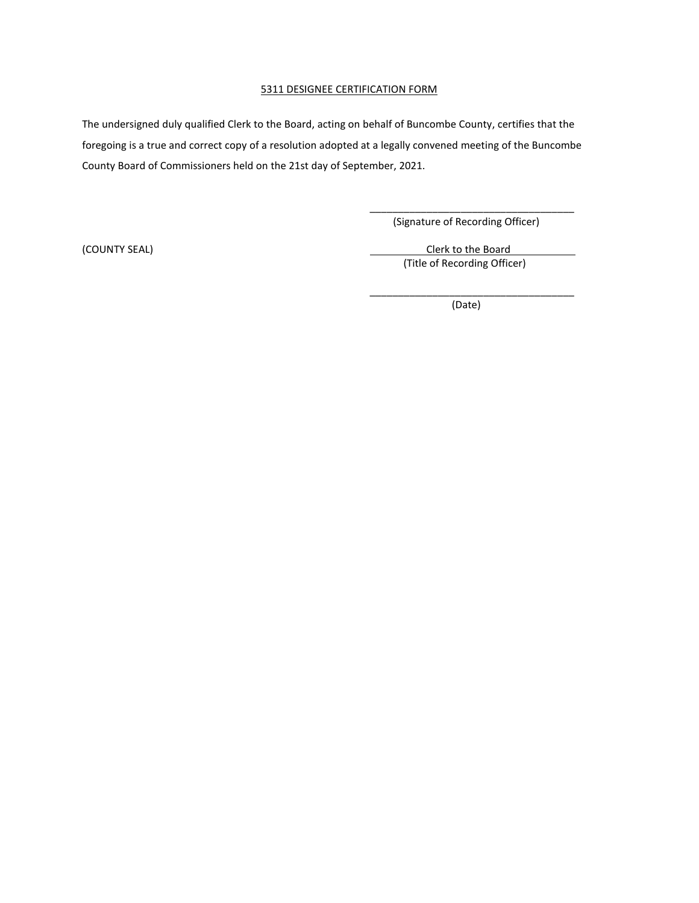#### 5311 DESIGNEE CERTIFICATION FORM

The undersigned duly qualified Clerk to the Board, acting on behalf of Buncombe County, certifies that the foregoing is a true and correct copy of a resolution adopted at a legally convened meeting of the Buncombe County Board of Commissioners held on the 21st day of September, 2021.

> \_\_\_\_\_\_\_\_\_\_\_\_\_\_\_\_\_\_\_\_\_\_\_\_\_\_\_\_\_\_\_\_\_\_\_\_ (Signature of Recording Officer)

(COUNTY SEAL) COUNTY SEAL) (Title of Recording Officer)

> \_\_\_\_\_\_\_\_\_\_\_\_\_\_\_\_\_\_\_\_\_\_\_\_\_\_\_\_\_\_\_\_\_\_\_\_ (Date)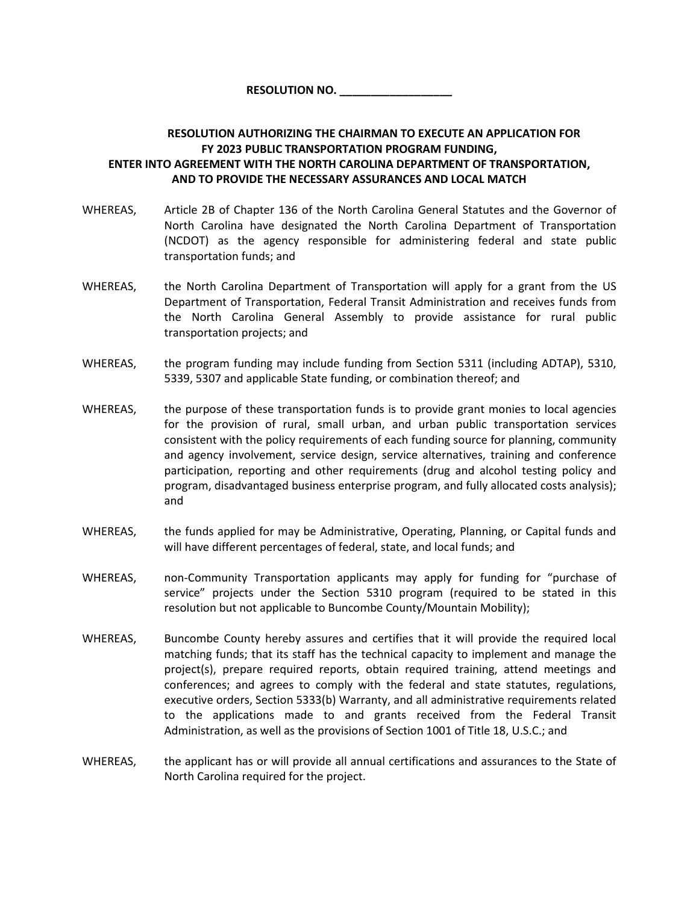# **RESOLUTION AUTHORIZING THE CHAIRMAN TO EXECUTE AN APPLICATION FOR FY 2023 PUBLIC TRANSPORTATION PROGRAM FUNDING, ENTER INTO AGREEMENT WITH THE NORTH CAROLINA DEPARTMENT OF TRANSPORTATION, AND TO PROVIDE THE NECESSARY ASSURANCES AND LOCAL MATCH**

- WHEREAS, Article 2B of Chapter 136 of the North Carolina General Statutes and the Governor of North Carolina have designated the North Carolina Department of Transportation (NCDOT) as the agency responsible for administering federal and state public transportation funds; and
- WHEREAS, the North Carolina Department of Transportation will apply for a grant from the US Department of Transportation, Federal Transit Administration and receives funds from the North Carolina General Assembly to provide assistance for rural public transportation projects; and
- WHEREAS, the program funding may include funding from Section 5311 (including ADTAP), 5310, 5339, 5307 and applicable State funding, or combination thereof; and
- WHEREAS, the purpose of these transportation funds is to provide grant monies to local agencies for the provision of rural, small urban, and urban public transportation services consistent with the policy requirements of each funding source for planning, community and agency involvement, service design, service alternatives, training and conference participation, reporting and other requirements (drug and alcohol testing policy and program, disadvantaged business enterprise program, and fully allocated costs analysis); and
- WHEREAS, the funds applied for may be Administrative, Operating, Planning, or Capital funds and will have different percentages of federal, state, and local funds; and
- WHEREAS, mon-Community Transportation applicants may apply for funding for "purchase of service" projects under the Section 5310 program (required to be stated in this resolution but not applicable to Buncombe County/Mountain Mobility);
- WHEREAS, Buncombe County hereby assures and certifies that it will provide the required local matching funds; that its staff has the technical capacity to implement and manage the project(s), prepare required reports, obtain required training, attend meetings and conferences; and agrees to comply with the federal and state statutes, regulations, executive orders, Section 5333(b) Warranty, and all administrative requirements related to the applications made to and grants received from the Federal Transit Administration, as well as the provisions of Section 1001 of Title 18, U.S.C.; and
- WHEREAS, the applicant has or will provide all annual certifications and assurances to the State of North Carolina required for the project.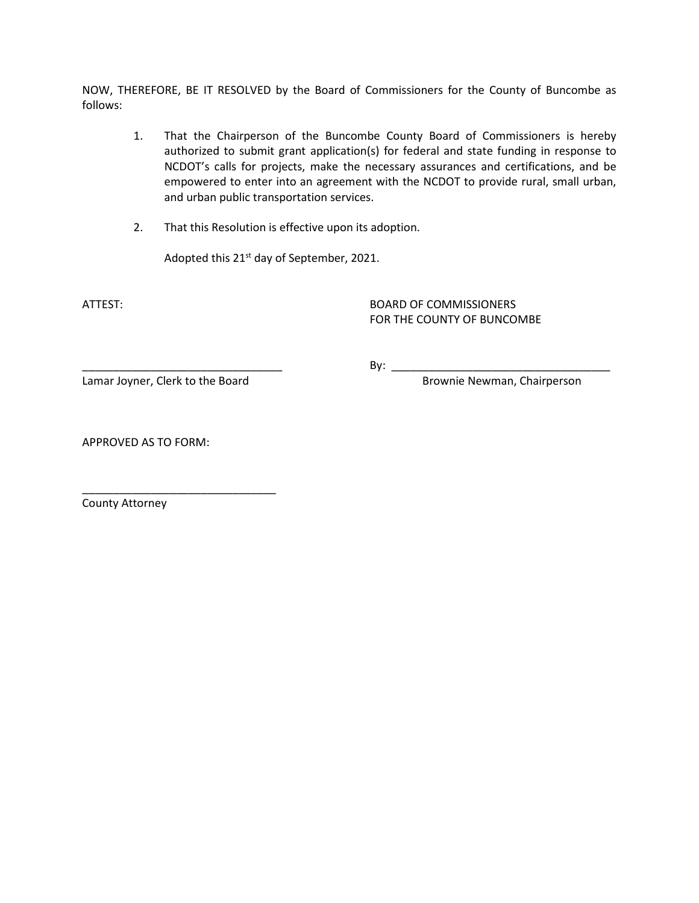NOW, THEREFORE, BE IT RESOLVED by the Board of Commissioners for the County of Buncombe as follows:

- 1. That the Chairperson of the Buncombe County Board of Commissioners is hereby authorized to submit grant application(s) for federal and state funding in response to NCDOT's calls for projects, make the necessary assurances and certifications, and be empowered to enter into an agreement with the NCDOT to provide rural, small urban, and urban public transportation services.
- 2. That this Resolution is effective upon its adoption.

Adopted this 21<sup>st</sup> day of September, 2021.

ATTEST: BOARD OF COMMISSIONERS FOR THE COUNTY OF BUNCOMBE

\_\_\_\_\_\_\_\_\_\_\_\_\_\_\_\_\_\_\_\_\_\_\_\_\_\_\_\_\_\_\_\_ By: \_\_\_\_\_\_\_\_\_\_\_\_\_\_\_\_\_\_\_\_\_\_\_\_\_\_\_\_\_\_\_\_\_\_\_

Lamar Joyner, Clerk to the Board **Brownie Newman**, Chairperson

\_\_\_\_\_\_\_\_\_\_\_\_\_\_\_\_\_\_\_\_\_\_\_\_\_\_\_\_\_\_\_

APPROVED AS TO FORM:

County Attorney